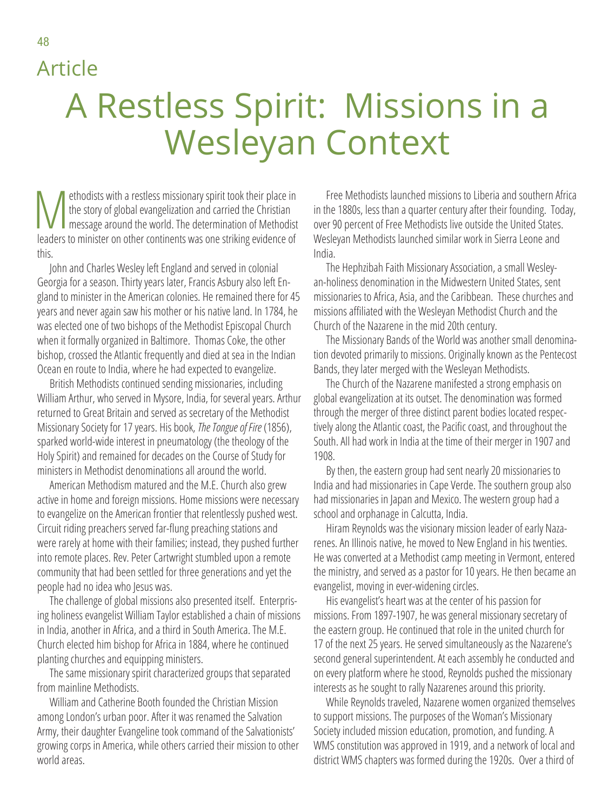## Article

## A Restless Spirit: Missions in a Wesleyan Context

Methodists with a restless missionary spirit took their place in<br>the story of global evangelization and carried the Christian<br>message around the world. The determination of Methodist<br>looders to minister on other sontinents the story of global evangelization and carried the Christian leaders to minister on other continents was one striking evidence of this.

John and Charles Wesley left England and served in colonial Georgia for a season. Thirty years later, Francis Asbury also left England to minister in the American colonies. He remained there for 45 years and never again saw his mother or his native land. In 1784, he was elected one of two bishops of the Methodist Episcopal Church when it formally organized in Baltimore. Thomas Coke, the other bishop, crossed the Atlantic frequently and died at sea in the Indian Ocean en route to India, where he had expected to evangelize.

British Methodists continued sending missionaries, including William Arthur, who served in Mysore, India, for several years. Arthur returned to Great Britain and served as secretary of the Methodist Missionary Society for 17 years. His book, *The Tongue of Fire* (1856), sparked world-wide interest in pneumatology (the theology of the Holy Spirit) and remained for decades on the Course of Study for ministers in Methodist denominations all around the world.

American Methodism matured and the M.E. Church also grew active in home and foreign missions. Home missions were necessary to evangelize on the American frontier that relentlessly pushed west. Circuit riding preachers served far-flung preaching stations and were rarely at home with their families; instead, they pushed further into remote places. Rev. Peter Cartwright stumbled upon a remote community that had been settled for three generations and yet the people had no idea who Jesus was.

The challenge of global missions also presented itself. Enterprising holiness evangelist William Taylor established a chain of missions in India, another in Africa, and a third in South America. The M.E. Church elected him bishop for Africa in 1884, where he continued planting churches and equipping ministers.

The same missionary spirit characterized groups that separated from mainline Methodists.

William and Catherine Booth founded the Christian Mission among London's urban poor. After it was renamed the Salvation Army, their daughter Evangeline took command of the Salvationists' growing corps in America, while others carried their mission to other world areas.

Free Methodists launched missions to Liberia and southern Africa in the 1880s, less than a quarter century after their founding. Today, over 90 percent of Free Methodists live outside the United States. Wesleyan Methodists launched similar work in Sierra Leone and India.

The Hephzibah Faith Missionary Association, a small Wesleyan-holiness denomination in the Midwestern United States, sent missionaries to Africa, Asia, and the Caribbean. These churches and missions affiliated with the Wesleyan Methodist Church and the Church of the Nazarene in the mid 20th century.

The Missionary Bands of the World was another small denomination devoted primarily to missions. Originally known as the Pentecost Bands, they later merged with the Wesleyan Methodists.

The Church of the Nazarene manifested a strong emphasis on global evangelization at its outset. The denomination was formed through the merger of three distinct parent bodies located respectively along the Atlantic coast, the Pacific coast, and throughout the South. All had work in India at the time of their merger in 1907 and 1908.

By then, the eastern group had sent nearly 20 missionaries to India and had missionaries in Cape Verde. The southern group also had missionaries in Japan and Mexico. The western group had a school and orphanage in Calcutta, India.

Hiram Reynolds was the visionary mission leader of early Nazarenes. An Illinois native, he moved to New England in his twenties. He was converted at a Methodist camp meeting in Vermont, entered the ministry, and served as a pastor for 10 years. He then became an evangelist, moving in ever-widening circles.

His evangelist's heart was at the center of his passion for missions. From 1897-1907, he was general missionary secretary of the eastern group. He continued that role in the united church for 17 of the next 25 years. He served simultaneously as the Nazarene's second general superintendent. At each assembly he conducted and on every platform where he stood, Reynolds pushed the missionary interests as he sought to rally Nazarenes around this priority.

While Reynolds traveled, Nazarene women organized themselves to support missions. The purposes of the Woman's Missionary Society included mission education, promotion, and funding. A WMS constitution was approved in 1919, and a network of local and district WMS chapters was formed during the 1920s. Over a third of